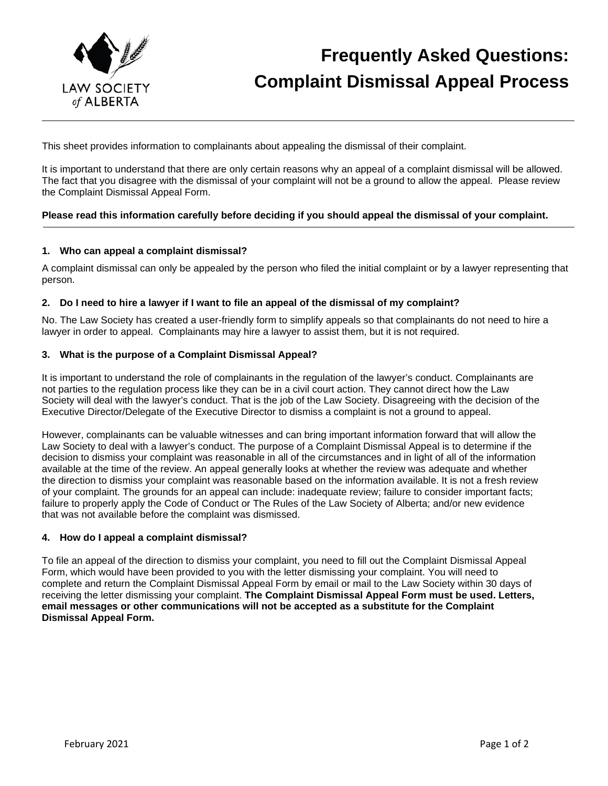

## **Frequently Asked Questions: Complaint Dismissal Appeal Process**

This sheet provides information to complainants about appealing the dismissal of their complaint.

It is important to understand that there are only certain reasons why an appeal of a complaint dismissal will be allowed. The fact that you disagree with the dismissal of your complaint will not be a ground to allow the appeal. Please review the Complaint Dismissal Appeal Form.

## **Please read this information carefully before deciding if you should appeal the dismissal of your complaint.**

### **1. Who can appeal a complaint dismissal?**

A complaint dismissal can only be appealed by the person who filed the initial complaint or by a lawyer representing that person.

## **2. Do I need to hire a lawyer if I want to file an appeal of the dismissal of my complaint?**

No. The Law Society has created a user-friendly form to simplify appeals so that complainants do not need to hire a lawyer in order to appeal. Complainants may hire a lawyer to assist them, but it is not required.

### **3. What is the purpose of a Complaint Dismissal Appeal?**

It is important to understand the role of complainants in the regulation of the lawyer's conduct. Complainants are not parties to the regulation process like they can be in a civil court action. They cannot direct how the Law Society will deal with the lawyer's conduct. That is the job of the Law Society. Disagreeing with the decision of the Executive Director/Delegate of the Executive Director to dismiss a complaint is not a ground to appeal.

However, complainants can be valuable witnesses and can bring important information forward that will allow the Law Society to deal with a lawyer's conduct. The purpose of a Complaint Dismissal Appeal is to determine if the decision to dismiss your complaint was reasonable in all of the circumstances and in light of all of the information available at the time of the review. An appeal generally looks at whether the review was adequate and whether the direction to dismiss your complaint was reasonable based on the information available. It is not a fresh review of your complaint. The grounds for an appeal can include: inadequate review; failure to consider important facts; failure to properly apply the Code of Conduct or The Rules of the Law Society of Alberta; and/or new evidence that was not available before the complaint was dismissed.

### **4. How do I appeal a complaint dismissal?**

To file an appeal of the direction to dismiss your complaint, you need to fill out the Complaint Dismissal Appeal Form, which would have been provided to you with the letter dismissing your complaint. You will need to complete and return the Complaint Dismissal Appeal Form by email or mail to the Law Society within 30 days of receiving the letter dismissing your complaint. **The Complaint Dismissal Appeal Form must be used. Letters, email messages or other communications will not be accepted as a substitute for the Complaint Dismissal Appeal Form.**